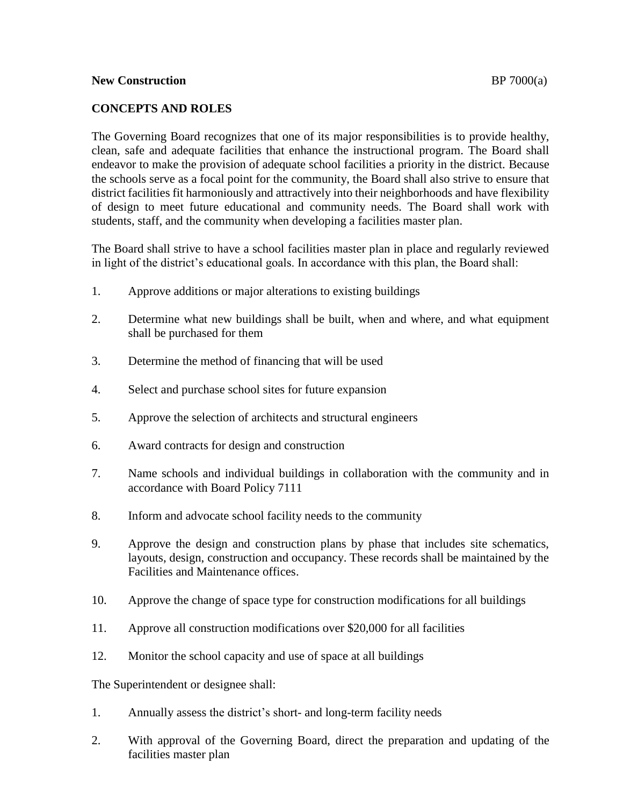## **New Construction BP** 7000(a)

## **CONCEPTS AND ROLES**

The Governing Board recognizes that one of its major responsibilities is to provide healthy, clean, safe and adequate facilities that enhance the instructional program. The Board shall endeavor to make the provision of adequate school facilities a priority in the district. Because the schools serve as a focal point for the community, the Board shall also strive to ensure that district facilities fit harmoniously and attractively into their neighborhoods and have flexibility of design to meet future educational and community needs. The Board shall work with students, staff, and the community when developing a facilities master plan.

The Board shall strive to have a school facilities master plan in place and regularly reviewed in light of the district's educational goals. In accordance with this plan, the Board shall:

- 1. Approve additions or major alterations to existing buildings
- 2. Determine what new buildings shall be built, when and where, and what equipment shall be purchased for them
- 3. Determine the method of financing that will be used
- 4. Select and purchase school sites for future expansion
- 5. Approve the selection of architects and structural engineers
- 6. Award contracts for design and construction
- 7. Name schools and individual buildings in collaboration with the community and in accordance with Board Policy 7111
- 8. Inform and advocate school facility needs to the community
- 9. Approve the design and construction plans by phase that includes site schematics, layouts, design, construction and occupancy. These records shall be maintained by the Facilities and Maintenance offices.
- 10. Approve the change of space type for construction modifications for all buildings
- 11. Approve all construction modifications over \$20,000 for all facilities
- 12. Monitor the school capacity and use of space at all buildings

The Superintendent or designee shall:

- 1. Annually assess the district's short- and long-term facility needs
- 2. With approval of the Governing Board, direct the preparation and updating of the facilities master plan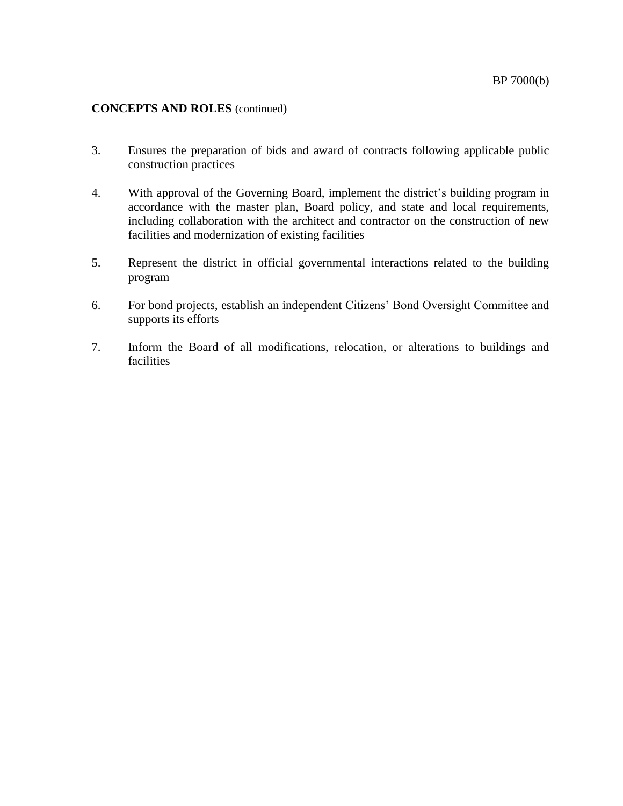## **CONCEPTS AND ROLES** (continued)

- 3. Ensures the preparation of bids and award of contracts following applicable public construction practices
- 4. With approval of the Governing Board, implement the district's building program in accordance with the master plan, Board policy, and state and local requirements, including collaboration with the architect and contractor on the construction of new facilities and modernization of existing facilities
- 5. Represent the district in official governmental interactions related to the building program
- 6. For bond projects, establish an independent Citizens' Bond Oversight Committee and supports its efforts
- 7. Inform the Board of all modifications, relocation, or alterations to buildings and facilities